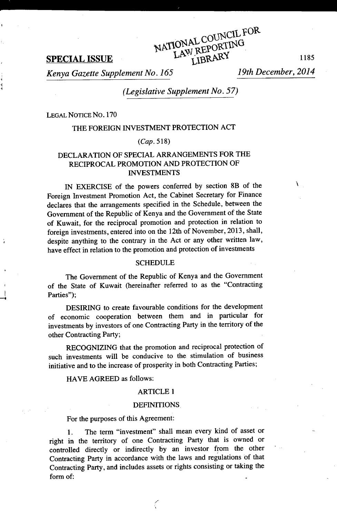ł

**SPECIAL ISSUE** NATIONAL CORTING<br>LAW REPORTING<br>LAW REPORTING<br>1185

*Kenya Gazette Supplement No. 165 19th December, 2014*

¥

*(Legislative Supplement No. 57)*

ATIONAL COUNCIL FOR<br>ATIONAL COURTING

LEGAL NOTICE No. 170

# THE FOREIGN INVESTMENT PROTECTION ACT

## *(Cap. 518)*

## DECLARATION OF SPECIAL ARRANGEMENTS FOR THE RECIPROCAL PROMOTION AND PROTECTION OF INVESTMENTS

IN EXERCISE of the powers conferred by section 8B of the Foreign Investment Promotion Act, the Cabinet Secretary for Finance declares that the arrangements specified in the Schedule, between the Government of the Republic of Kenya and the Government of the State of Kuwait, for the reciprocal promotion and protection in relation to foreign investments, entered into on the 12th of November, 2013, shall, despite anything to the contrary in the Act or any other written law, have effect in relation to the promotion and protection of investments

#### **SCHEDULE**

The Government of the Republic of Kenya and the Government of the State of Kuwait (hereinafter referred to as the "Contracting Parties");

DESIRING to create favourable conditions for the development of economic cooperation between them and in particular for investments by investors of one Contracting Party in the territory of the other Contracting Party;

RECOGNIZING that the promotion and reciprocal protection of such investments will be conducive to the stimulation of business initiative and to the increase of prosperity in both Contracting Parties;

HAVE AGREED as follows:

## ARTICLE I

#### DEFINITIONS.

For the purposes of this Agreement:

1. The term "investment" shall mean every kind of asset or right in the territory of one Contracting Party that is owned or controlled directly or indirectly by an investor from the other Contracting Party in accordance with the laws and regulations of that Contracting Party, and includes assets or rights consisting or taking the form of: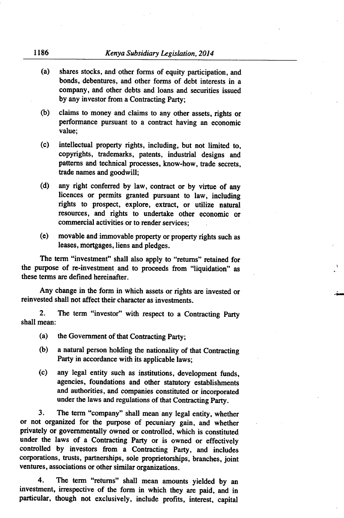- (a) shares stocks, and other forms of equity participation, and bonds, debentures, and other forms of debt interests in a company, and other debts and loans and securities issued by any investor from a Contracting Party;
- (b) claims to money and claims to any other assets, rights or performance pursuant to a contract having an economic value;
- (c) intellectual property rights, including, but not limited to, copyrights, trademarks, patents, industrial designs and patterns and technical processes, know-how, trade secrets, trade names and goodwill;
- (d) any right conferred by law, contract or by virtue of any licences or permits granted pursuant to law, including rights to prospect, explore, extract, or utilize natural resources, and rights to undertake other economic or commercial activities or to render services;
- (e) movable and immovable property or property rights such as leases, mortgages, liens and pledges.

The term "investment" shall also apply to "returns" retained for the purpose of re-investment and to proceeds from "liquidation" as . these terms are defined hereinafter.

Any change in the form in which assets or rights are invested or reinvested shall not affect their character as investments.

The term "investor" with respect to a Contracting Party  $2.$ shall mean:

- (a) the Government of that Contracting Party;
- (b) a natural person holding the nationality of that Contracting Party in accordance with its applicable laws;
- (c) any legal entity such as institutions, development funds, agencies, foundations and other statutory establishments and authorities, and companies constituted or incorporated under the laws and regulations of that Contracting Party.

3. The term "company" shall mean any legal entity, whether or not organized for the purpose of pecuniary gain, and whether privately or governmentally owned or controlled, which is constituted under the laws of a Contracting Party or is owned or effectively controlled by investors from a Contracting Party, and includes corporations, trusts, partnerships, sole proprietorships, branches, joint ventures, associations or other similar organizations.

4. The term "returns" shall mean amounts yielded by an investment, irrespective of the form in which they are paid.. and in particular, though not exclusively, include profits, interest, capital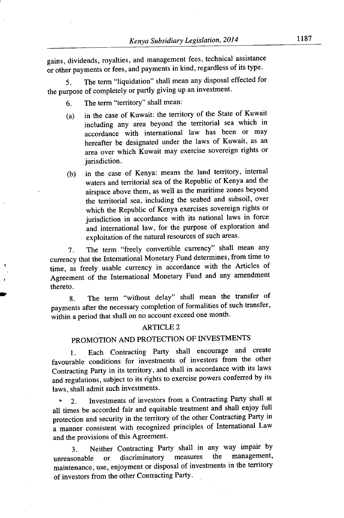gains, dividends, royalties, and management fees, technical assistance or other payments or fees, and payments in kind, regardless of its type.

5. The term "liquidation" shall mean any disposal effected for the purpose of completely or partly giving up an investment.

- The term "territory" shall mean: 6.
- (a) in the case of Kuwait: the territory of the State of Kuwait including any area beyond the territorial sea which in accordance with international law has been or may hereafter be designated under the laws of Kuwait, as an area over which Kuwait may exercise sovereign rights or jurisdiction.
- (b) in the case of Kenya: means the land territory, internal waters and territorial sea of the Republic of Kenya and the airspace above them, as well as the maritime zones beyond the territorial sea, including the seabed and subsoil, over which the Republic of Kenya exercises sovereign rights or jurisdiction in accordance with its national laws in force and international law, for the purpose of exploration and exploitation of the natural resources of such areas.

7. The term "freely convertible currency" shall mean any currency that the International Monetary Fund determines, from time to time, as freely usable currency in accordance with the Articles of Agreement of the International Monetary Fund and any amendment thereto.

8. The term "without delay" shall mean the transfer of payments after the necessary completion of formalities of such transfer, within a period that shall on no account exceed one month.

## ARTICLE 2

# PROMOTION AND PROTECTION OF INVESTMENTS

1. Each Contracting Party shall encourage and create favourable conditions for investments of investors from the other Contracting Party in its territory, and shall in accordance with its laws and regulations, subject to its rights to exercise powers conferred by its laws, shall admit such investments.

. 2. Investments of investors from a Contracting Party shall at all times be accorded fair and equitable treatment and shall enjoy full protection and security in the territory of the other Contracting Party in a manner consistent with recognized principles of International Law and the provisions of this Agreement.

3. Neither Contracting Party shall in any way impair by<br>consele or discriminatory measures the management, unreasonable or discriminatory measures the management maintenance, use, enjoyment or disposal of investments in the territory of investors from the other Contracting Party. .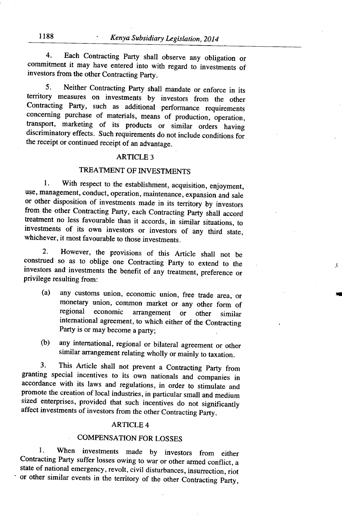4. Each Contracting Party shall observe any obligation or commitment it may have entered into with regard to investments of investors from the other Contracting Party.

5. Neither Contracting Party shall mandate or enforce in its territory measures on investments by investors from the other Contracting Party, such as additional performance requirements concerning purchase of materials, means of production, operation, transport, marketing of its products or similar orders having discriminatory effects. Such requirements do not include conditions for the receipt or continued receipt of an advantage.

## ARTICLE 3

## TREATMENT OF INVESTMENTS

1. With respect to the establishment, acquisition, enjoyment, use, management, conduct, operation, maintenance, expansion and sale or other disposition of investments made in its territory by investors from the other Contracting Party, each Contracting Party shall accord treatment no less favourable than it accords, in similar situations, to investments of its own investors or investors of any third state, whichever, it most favourable to those investments.

2. However, the provisions of this Article shall not be construed so as to oblige one Contracting Party to extend to the investors and investments the benefit of any treatment, preference or privilege resulting from:

(a) any customs union, economic union, free trade area, or monetary union, common market or any other form of<br>regional economic arrangement or other similar arrangement or other similar international agreement, to which either of the Contracting Party is or may become a party;

 $\mathcal{S}$ 

(b) any international, regional or bilateral agreement or other similar arrangement relating wholly or mainly to taxation.

3. This Article shall not prevent a Contracting Party from granting special incentives to its own nationals and companies in accordance with its laws and regulations, in order to stimulate and promote the creation of local industries, in particular small and medium sized enterprises, provided that such incentives do not significantly affect investments of investors from the other Contracting Party.

## ARTICLE 4

## COMPENSATION FOR LOSSES

1. When investments made by investors from either Contracting Party suffer losses owing to war or other armed conflict, a state of national emergency, revolt, civil disturbances, insurrection, riot or other similar events in the territory of the other Contracting Party,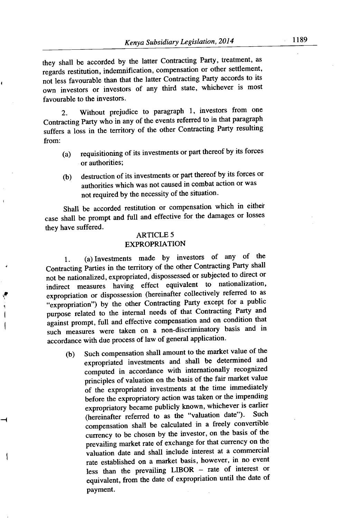they shall be accorded by the latter Contracting Party, treatment, as regards restitution, indemnification, compensation or other settlement, not less favourable than that the latter Contracting Party accords to its own investors or investors of any third state, whichever is most favourable to the investors.

2. Without prejudice to paragraph 1, investors from one Contracting Party who in any of the events referred to in that paragraph suffers a loss in the territory of the other Contracting Party resulting from:

- (a) requisitioning of its investments or part thereof by its forces or authorities;
- (b) destruction of its investments or part thereof by its forces or authorities which was not caused in combat action or was not required by the necessity of the situation.

Shall be accorded restitution or compensation which in either case shall be prompt and full and effective for the damages or losses they have suffered.

## ARTICLE 5 EXPROPRIATION

1. (a) Investments made by investors of any of the Contracting Parties in the territory of the other Contracting Party shall not be nationalized, expropriated, dispossessed or subjected to direct or indirect measures having effect equivalent to nationalization, expropriation or dispossession (hereinafter collectively referred to as "expropriation") by the other Contracting Party except for a public purpose related to the internal needs of that Contracting Party and against prompt, full and effective compensation and on condition that such measures were taken on a non-discriminatory basis and in accordance with due process of law of general application.

Ä

1

(b) Such compensation shall amount to the market value of the expropriated investments and shall be determined and computed in accordance with internationally recognized principles of valuation on the basis of the fair market value of the expropriated investments at the time immediately before the expropriatory action was taken or the impending expropriatory became publicly known, whichever is earlier<br>(baseinefter referred to as the "valuation date"). Such (hereinafter referred to as the "valuation date"). compensation shall be calculated in a freely convertible currency to be chosen by the investor, on the basis of the prevailing market rate of exchange for that currency on the valuation date and shall include interest at a commercial rate established on a market basis, however, in no event less than the prevailing LIBOR — rate of interest or equivalent, from the date of expropriation until the date of payment.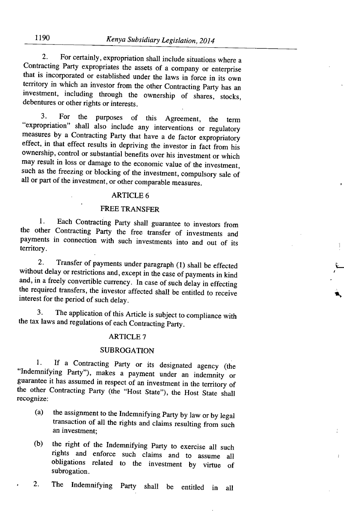2. For certainly, expropriation shall include situations where a Contracting Party expropriates the assets of a company or enterprise that is incorporated or established under the laws in force in its own territory in which an investor from the other Contracting Party has an investment, including through the ownership of shares, stocks, debentures or other rights or interests.

3. For the purposes of this Agreement, the term expropriation" shall also include any interventions or regulatory measures by a Contracting Party that have a de factor expropriatory effect, in that effect results in depriving the investor in fact from his ownership, control or substantial benefits over his investment or which may result in loss or damage to the economic value of the investment, such as the freezing or blocking of the investment, compulsory sale of all or part of the investment, or other comparable measures.

## ARTICLE 6

## FREE TRANSFER

1. Each Contracting Party shall guarantee to investors from the other Contracting Party the free transfer of investments and payments in connection with such investments into and out of its territory.

2. Transfer of payments under paragraph (1) shall be effected without delay or restrictions and, except in the case of payments in kind and, in a freely convertible currency. In case of such delay in effecting the required transfers, the investor affected shall be entitled to receive interest for the period of such delay.

3. The application of this Article is subject to compliance with the tax laws and regulations of each Contracting Party.

## ARTICLE 7

#### SUBROGATION

If a Contracting Party or its designated agency (the  $1.$ "Indemnifying Party"), makes a payment under an indemnity or guarantee it has assumed in respect of an investment in the territory of the other Contracting Party (the "Host State"), the Host State shall recognize:

- (a) the assignment to the Indemnifying Party by law or by legal transaction of all the rights and claims resulting from such an investment;
- (b) the right of the Indemnifying Party to exercise all such rights and enforce such claims and to assume all obligations related to the investment by virtue of subrogation.

2. The Indemnifying Party shall be entitled in all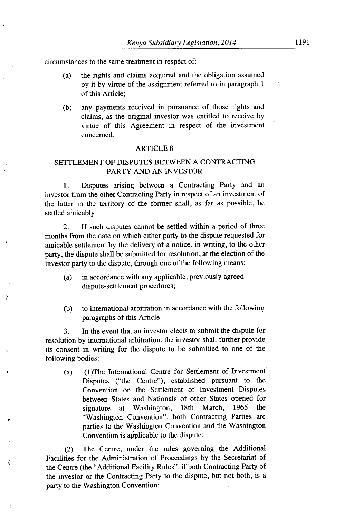circumstances to the same treatment in respect of:

- (a) the rights and claims acquired and the obligation assumed by it by virtue of the assignment referred to in paragraph I of this Article;
- (b) any payments received in pursuance of those rights and claims, as the original investor was entitled to receive by virtue of this Agreement in respect of the investment concerned.

#### ARTICLE 8

## SETTLEMENT OF DISPUTES BETWEEN A CONTRACTING PARTY AND AN INVESTOR

1. Disputes arising between a Contracting Party and an investor from the other Contracting Party in respect of an investment of the latter in the territory of the former shall, as far as possible, be settled amicably.

2. If such disputes cannot be settled within a period of three months from the date on which either party to the dispute requested for amicable settlement by the delivery of a notice, in writing, to the other party, the dispute shall be submitted for resolution, at the election of the investor party to the dispute, through one of the following means:

- (a) in accordance with any applicable, previously agreed dispute- settlement procedures;
- (b) to international arbitration in accordance with the following paragraphs of this Article.

3. In the event that an investor elects to submit the dispute for resolution by international arbitration, the investor shall further provide its consent in writing for the dispute to be submitted to one of the following bodies:

(a) (1)The International Centre for Settlement of Investment Disputes ("the Centre"), established pursuant to the Convention on the Settlement of Investment Disputes between States and Nationals of other States opened for signature at Washington, 18th March, *1965* the "Washington Convention", both Contracting Parties are parties to the Washington Convention and the Washington Convention is applicable to the dispute;

(2) The Centre, under the rules governing the Additional Facilities for the Administration of Proceedings by the Secretariat of the Centre (the "Additional Facility Rules", if both Contracting Party of the investor or the Contracting Party to the dispute, but not both, is a party to the Washington Convention: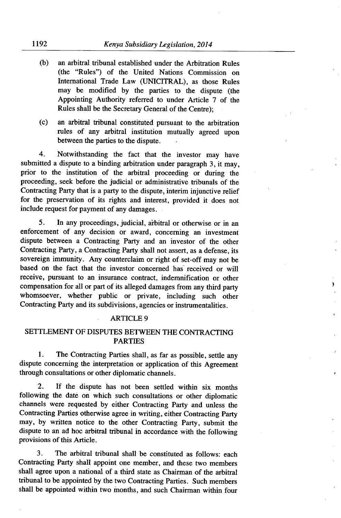- (b) an arbitral tribunal established under the Arbitration Rules (the "Rules") of the United Nations Commission on International Trade Law (UNICITRAL), as those Rules may be modified by the parties to the dispute (the Appointing Authority referred to under Article 7 of the Rules shall be the Secretary General of the Centre);
- (c) an arbitral tribunal constituted pursuant to the arbitration rules of any arbitral institution mutually agreed upon between the parties to the dispute.

4. Notwithstanding the fact that the investor may have submitted a dispute to a binding arbitration under paragraph 3, it may, prior to the institution of the arbitral proceeding or during the proceeding, seek before the judicial or administrative tribunals of the Contracting Party that is a party to the dispute, interim injunctive relief for the preservation of its rights and interest, provided it does not include request for payment of any damages.

5. In any proceedings, judicial, aibitral or otherwise or in an enforcement of any decision or award, concerning an investment dispute between a Contracting Party and an investor of the other Contracting Party, a Contracting Party shall not assert, as a defense, its sovereign immunity. Any counterclaim or right of set-off may not be based on the fact that the investor concerned has received or will receive, pursuant to an insurance contract, indemnification or other compensation for all or part of its alleged damages from any third party whomsoever, whether public or private, including such other Contracting Party and its subdivisions, agencies or instrumentalities.

d

#### ARTICLE 9

## SETTLEMENT OF DISPUTES BETWEEN THE CONTRACTING PARTIES

1. The Contracting Parties shall, as far as possible, settle any dispute concerning the interpretation or application of this Agreement through consultations or other diplomatic channels.

2. If the dispute has not been settled within six months following the date on which such consultations or other diplomatic channels were requested by either Contracting Party and unless the Contracting Parties otherwise agree in writing, either Contracting Party may, by written notice to the other Contracting Party, submit the dispute to an ad hoc arbitral tribunal in accordance with the following provisions of this Article.

3. The arbitral tribunal shall be constituted as follows: each Contracting Party shall appoint one member, and these two members shall agree upon a national of a third state as Chairman of the arbitral tribunal to be appointed by the two Contracting Parties. Such members shall be appointed within two months, and such Chairman within four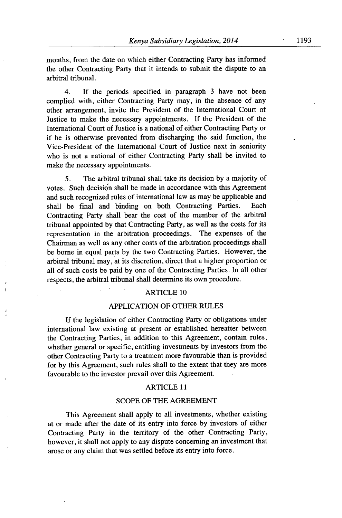months, from the date on which either Contracting Party has informed the other Contracting Party that it intends to submit the dispute to an arbitral tribunal.

4. If the periods specified in paragraph *3* have not been complied with, either Contracting Party may, in the absence of any other arrangement, invite the President of the International Court of Justice to make the necessary appointments. If the President of the International Court of Justice is a national of either Contracting Party or if he is otherwise prevented from discharging the said function, the Vice-President of the International Court of Justice next in seniority who is not a national of either Contracting Party shall be invited to make the necessary appointments.

5. The arbitral tribunal shall take its decision by a majority of votes. Such decision shall be made in accordance with this Agreement and such recognized rules of international law as may be applicable and shall be final and binding on both Contracting Parties. Each Contracting Party shall bear the cost of the member of the arbitral tribunal appointed by that Contracting Party, as well as the costs for its representation in the arbitration proceedings. The expenses of the Chairman as well as any other costs of the arbitration proceedings shall be borne in equal parts by the two Contracting Parties. However, the arbitral tribunal may, at its discretion, direct that a higher proportion or all of such costs be paid by one of the Contracting Parties. In all other respects, the arbitral tribunal shall determine its own procedure.

## ARTICLE 10

## APPLICATION OF OTHER RULES

If the legislation of either Contracting Party or obligations under international law existing at present or established hereafter between the Contracting Parties, in addition to this Agreement, contain rules, whether general or specific, entitling investments by investors from the other Contracting Party to a treatment more favourable than is provided for by this Agreement, such rules shall to the extent that they are more favourable to the investor prevail over this Agreement.

#### **ARTICLE 11**

#### SCOPE OF THE AGREEMENT

This Agreement shall apply to all investments, whether existing at or made after the date of its entry into force by investors of either Contracting Party in the territory of the other Contracting Party, however, it shall not apply to any dispute concerning an investment that arose or any claim that was settled before its entry into force.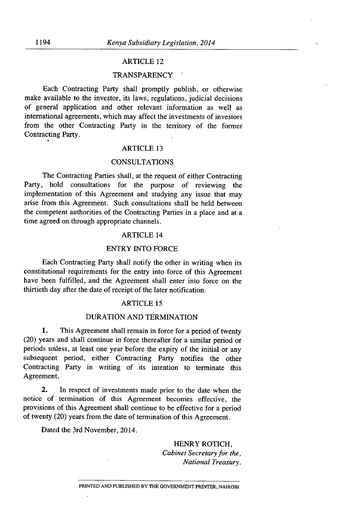## ARTICLE 12

## **TRANSPARENCY**

Each Contracting Party shall promptly publish, or otherwise make available to the investor, its laws, regulations, judicial decisions of general application and other relevant information as well as international agreements, which may affect the investments of investors from the other Contracting Party in the territory of the former Contracting Party.

## ARTICLE 13

## CONSULTATIONS

The Contracting Parties shall, at the request of either Contracting Party, hold consultations for the purpose of reviewing the implementation of this Agreement and studying any issue that may arise from this Agreement. Such consultations shall be held between the competent authorities of the Contracting Parties in a place and at a time agreed on through appropriate channels.

#### ARTICLE 14

## ENTRY INTO FORCE

Each Contracting Party shall notify the other in writing when its constitutional requirements for the entry into force of this Agreement have been fulfilled, and the Agreement shall enter into force on the thirtieth day after the date of receipt of the later notification.

## ARTICLE 15

#### DURATION AND TERMINATION

1. This Agreement shall remain in force for a period of twenty (20) years and shall continue in force thereafter for a similar period or periods unless, at least one year before the expiry of the initial or any subsequent period, either Contracting Party notifies the other Contracting Party in writing of its intention to terminate this Agreement.

2. In respect of investments made prior to the date when the notice of termination of this Agreement becomes effective, the provisions of this Agreement shall continue to be effective for a period of twenty (20) years from the date of termination of this Agreement.

Dated the 3rd November, 2014.

## HENRY ROTICH, *Cabinet Secretary for the, National Treasury.*